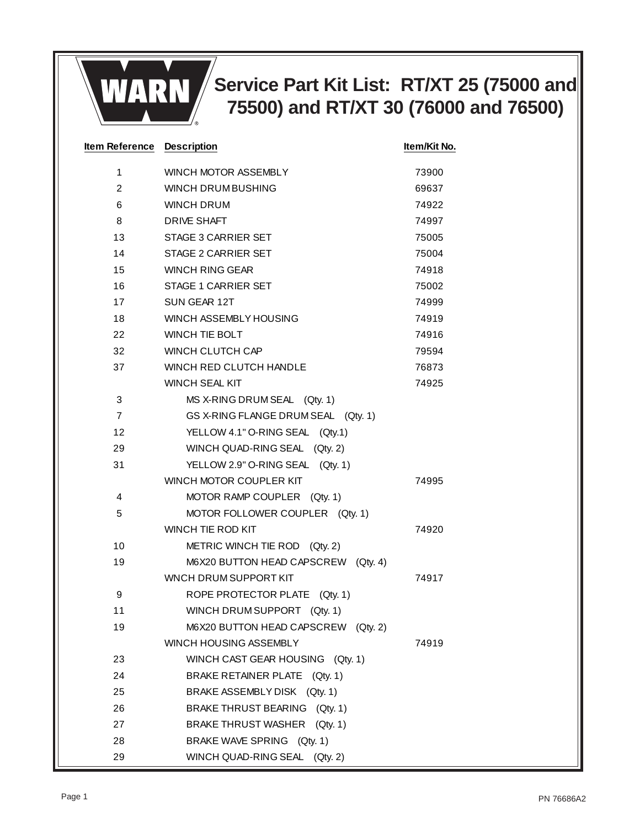

| <b>Item Reference Description</b> |                                                               | Item/Kit No. |
|-----------------------------------|---------------------------------------------------------------|--------------|
| $\mathbf{1}$                      | WINCH MOTOR ASSEMBLY                                          | 73900        |
| $\overline{2}$                    | WINCH DRUM BUSHING                                            | 69637        |
| 6                                 | <b>WINCH DRUM</b>                                             | 74922        |
| 8                                 | DRIVE SHAFT                                                   | 74997        |
| 13                                | STAGE 3 CARRIER SET                                           | 75005        |
| 14                                | STAGE 2 CARRIER SET                                           | 75004        |
| 15                                | <b>WINCH RING GEAR</b>                                        | 74918        |
| 16                                | STAGE 1 CARRIER SET                                           | 75002        |
| 17                                | SUN GEAR 12T                                                  | 74999        |
| 18                                | WINCH ASSEMBLY HOUSING                                        | 74919        |
| 22                                | <b>WINCH TIE BOLT</b>                                         | 74916        |
| 32                                | WINCH CLUTCH CAP                                              | 79594        |
| 37                                | WINCH RED CLUTCH HANDLE                                       | 76873        |
|                                   | <b>WINCH SEAL KIT</b>                                         | 74925        |
| 3                                 | MS X-RING DRUM SEAL (Qty. 1)                                  |              |
| $\overline{7}$                    | GS X-RING FLANGE DRUM SEAL (Qty. 1)                           |              |
| 12                                | YELLOW 4.1" O-RING SEAL (Qty.1)                               |              |
| 29                                | WINCH QUAD-RING SEAL (Qty. 2)                                 |              |
| 31                                | YELLOW 2.9" O-RING SEAL (Qty. 1)                              |              |
|                                   | WINCH MOTOR COUPLER KIT                                       | 74995        |
| 4                                 | MOTOR RAMP COUPLER (Qty. 1)                                   |              |
| 5                                 | MOTOR FOLLOWER COUPLER (Qty. 1)                               |              |
|                                   | WINCH TIE ROD KIT                                             | 74920        |
| 10                                | METRIC WINCH TIE ROD (Qty. 2)                                 |              |
| 19                                | M6X20 BUTTON HEAD CAPSCREW (Qty. 4)                           |              |
|                                   | WNCH DRUM SUPPORT KIT                                         | 74917        |
| 9                                 | ROPE PROTECTOR PLATE (Qty. 1)                                 |              |
| 11                                | WINCH DRUM SUPPORT (Qty. 1)                                   |              |
| 19                                | M6X20 BUTTON HEAD CAPSCREW (Qty. 2)                           |              |
|                                   | WINCH HOUSING ASSEMBLY                                        | 74919        |
| 23                                | WINCH CAST GEAR HOUSING (Qty. 1)                              |              |
| 24                                | BRAKE RETAINER PLATE (Qty. 1)                                 |              |
| 25                                | BRAKE ASSEMBLY DISK (Qty. 1)                                  |              |
| 26<br>27                          | BRAKE THRUST BEARING (Qty. 1)<br>BRAKE THRUST WASHER (Qty. 1) |              |
| 28                                | BRAKE WAVE SPRING (Qty. 1)                                    |              |
| 29                                | WINCH QUAD-RING SEAL (Qty. 2)                                 |              |
|                                   |                                                               |              |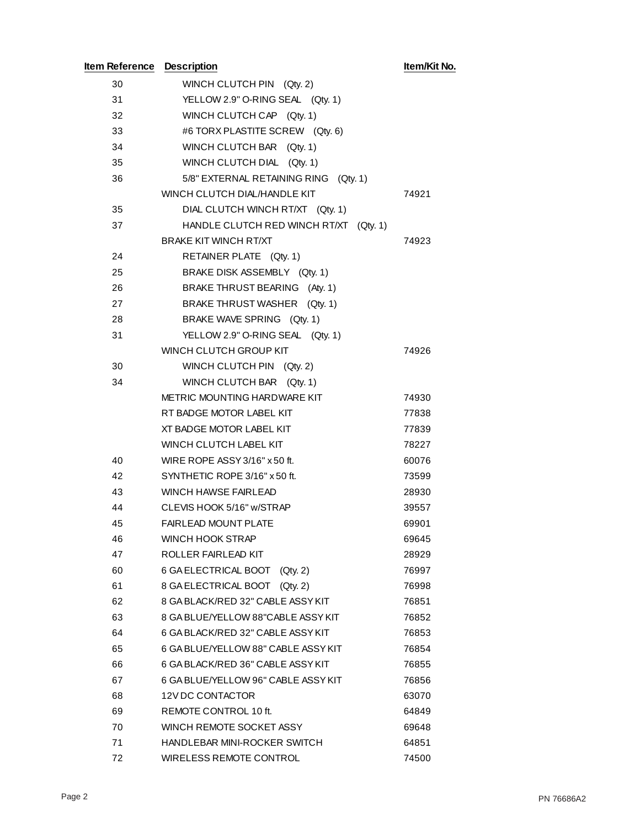## **Item Reference Description Item/Kit No.** 30 WINCH CLUTCH PIN (Qty. 2) 31 YELLOW 2.9" O-RING SEAL (Qty. 1) 32 WINCH CLUTCH CAP (Qty. 1) 33 #6 TORX PLASTITE SCREW (Qty. 6) 34 WINCH CLUTCH BAR (Qty. 1) 35 WINCH CLUTCH DIAL (Qty. 1) 36 5/8" EXTERNAL RETAINING RING (Qty. 1) WINCH CLUTCH DIAL/HANDLE KIT 74921 35 DIAL CLUTCH WINCH RT/XT (Qty. 1) 37 HANDLE CLUTCH RED WINCH RT/XT (Qty. 1) BRAKE KIT WINCH RT/XT 74923 24 RETAINER PLATE (Qty. 1) 25 BRAKE DISK ASSEMBLY (Qty. 1) 26 BRAKE THRUST BEARING (Aty. 1) 27 BRAKE THRUST WASHER (Qty. 1) 28 BRAKE WAVE SPRING (Qty. 1) 31 YELLOW 2.9" O-RING SEAL (Qty. 1) WINCH CLUTCH GROUP KIT 74926 30 WINCH CLUTCH PIN (Qty. 2) 34 WINCH CLUTCH BAR (Qty. 1) METRIC MOUNTING HARDWARE KIT 74930 RT BADGE MOTOR LABEL KIT **1988** 77838 XT BADGE MOTOR LABEL KIT 77839 WINCH CLUTCH LABEL KIT 78227 40 WIRE ROPE ASSY 3/16" x 50 ft. 60076 42 SYNTHETIC ROPE 3/16" x 50 ft. 73599 43 WINCH HAWSE FAIRLEAD 28930 44 CLEVIS HOOK 5/16" w/STRAP 39557 45 FAIRLEAD MOUNT PLATE 69901 46 WINCH HOOK STRAP 69645 47 ROLLER FAIRLEAD KIT 28929 60 6 GA ELECTRICAL BOOT (Qty. 2) 76997 61 8 GA ELECTRICAL BOOT (Qty. 2) 76998 62 8 GA BLACK/RED 32" CABLE ASSY KIT 76851 63 8 GA BLUE/YELLOW 88"CABLE ASSY KIT 76852 64 6 GA BLACK/RED 32" CABLE ASSY KIT 76853 65 6 GA BLUE/YELLOW 88" CABLE ASSY KIT 76854 66 6 GA BLACK/RED 36" CABLE ASSY KIT 76855 67 6 GA BLUE/YELLOW 96" CABLE ASSY KIT 76856 68 12V DC CONTACTOR 63070 69 REMOTE CONTROL 10 ft. **64849** 70 WINCH REMOTE SOCKET ASSY 69648 71 HANDLEBAR MINI-ROCKER SWITCH 64851 72 WIRELESS REMOTE CONTROL 74500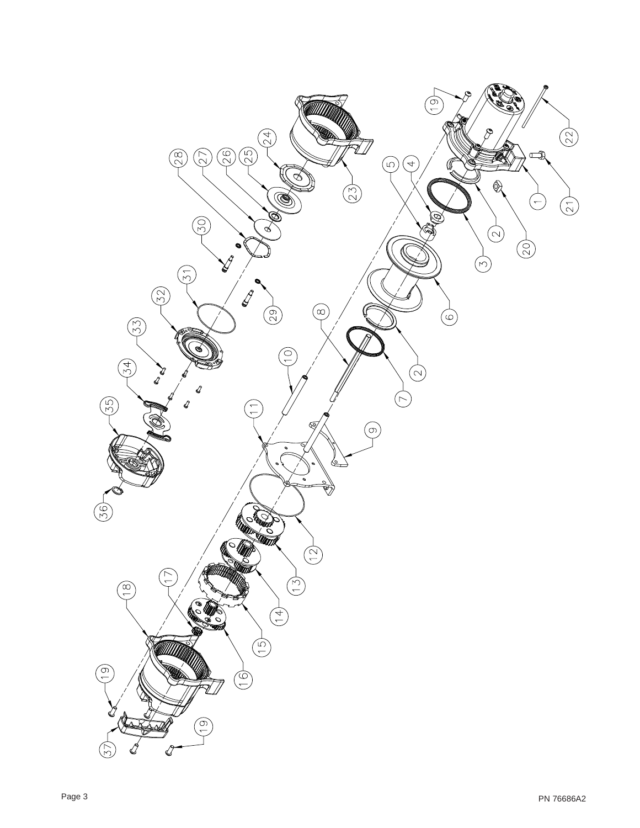